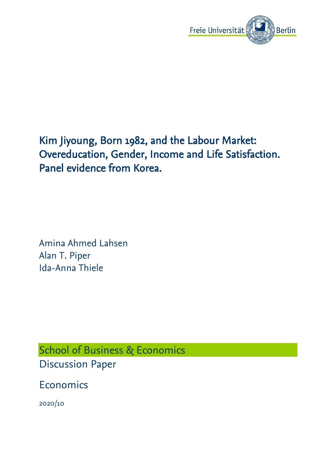

# Kim Jiyoung, Born 1982, and the Labour Market: Overeducation, Gender, Income and Life Satisfaction. Panel evidence from Korea.

Amina Ahmed Lahsen Alan T. Piper Ida-Anna Thiele

School of Business & Economics Discussion Paper

Economics

2020/10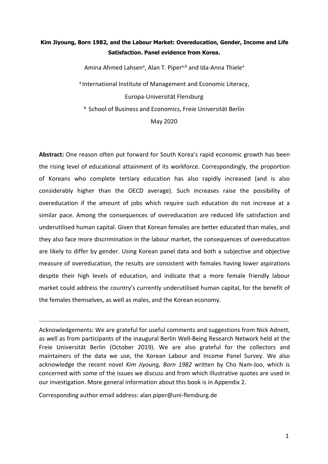# **Kim Jiyoung, Born 1982, and the Labour Market: Overeducation, Gender, Income and Life Satisfaction. Panel evidence from Korea.**

Amina Ahmed Lahsen<sup>a</sup>, Alan T. Piper<sup>a,b</sup> and Ida-Anna Thiele<sup>a</sup> a <sup>a</sup> International Institute of Management and Economic Literacy, Europa-Universität Flensburg **b** School of Business and Economics, Freie Universität Berlin May 2020

**Abstract:** One reason often put forward for South Korea's rapid economic growth has been the rising level of educational attainment of its workforce. Correspondingly, the proportion of Koreans who complete tertiary education has also rapidly increased (and is also considerably higher than the OECD average). Such increases raise the possibility of overeducation if the amount of jobs which require such education do not increase at a similar pace. Among the consequences of overeducation are reduced life satisfaction and underutilised human capital. Given that Korean females are bettereducated than males, and they also face more discrimination in the labour market, the consequences of overeducation are likely to differ by gender. Using Korean panel data and both a subjective and objective measure of overeducation, the results are consistent with females having lower aspirations despite their high levels of education, and indicate that a more female friendly labour market could address the country's currently underutilised human capital, for the benefit of the females themselves, as well as males, and the Korean economy.

Acknowledgements: We are grateful for useful comments and suggestions from Nick Adnett, as well as from participants of the inaugural Berlin Well-Being Research Network held at the Freie Universität Berlin (October 2019). We are also grateful for the collectors and maintainers of the data we use, the Korean Labour and Income Panel Survey. We also acknowledge the recent novel *Kim Jiyoung, Born 1982* written by Cho Nam-Joo, which is concerned with some of the issues we discuss and from which illustrative quotes are used in our investigation. More general information about this book is in Appendix 2.

Corresponding author email address: alan.piper@uni-flensburg.de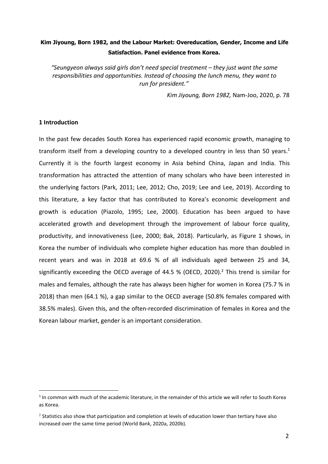# **Kim Jiyoung, Born 1982, and the Labour Market: Overeducation, Gender, Income and Life Satisfaction. Panel evidence from Korea.**

*"Seungyeon always said girls don't need special treatment – they just want the same responsibilities and opportunities. Instead of choosing the lunch menu, they want to run for president."*

*Kim Jiyoung, Born 1982,* Nam-Joo, 2020, p. 78

## **1 Introduction**

In the past few decades South Korea has experienced rapid economic growth, managing to transform itself from a developing country to a developed country in less than 50 years.<sup>[1](#page-2-0)</sup> Currently it is the fourth largest economy in Asia behind China, Japan and India. This transformation has attracted the attention of many scholars who have been interested in the underlying factors (Park, 2011; Lee, 2012; Cho, 2019; Lee and Lee, 2019). According to this literature, a key factor that has contributed to Korea's economic development and growth is education (Piazolo, 1995; Lee, 2000). Education has been argued to have accelerated growth and development through the improvement of labour force quality, productivity, and innovativeness (Lee, 2000; Bak, 2018). Particularly, as Figure 1 shows, in Korea the number of individuals who complete higher education has more than doubled in recent years and was in 2018 at 69.6 % of all individuals aged between 25 and 34, significantly exceeding the OECD average of 44.5 % (OECD, 2020).[2](#page-2-1) This trend is similar for males and females, although the rate has always been higher for women in Korea (75.7 % in 2018) than men (64.1 %), a gap similar to the OECD average (50.8% females compared with 38.5% males). Given this, and the often-recorded discrimination of females in Korea and the Korean labour market, gender is an important consideration.

<span id="page-2-0"></span> $<sup>1</sup>$  In common with much of the academic literature, in the remainder of this article we will refer to South Korea</sup> as Korea.

<span id="page-2-1"></span><sup>&</sup>lt;sup>2</sup> Statistics also show that participation and completion at levels of education lower than tertiary have also increased over the same time period (World Bank, 2020a, 2020b).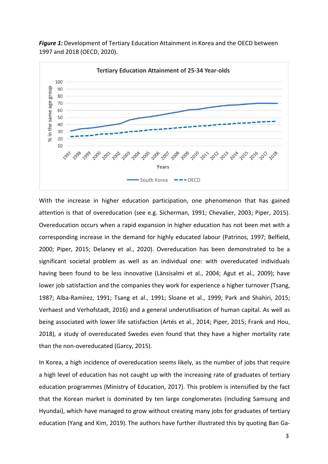

*Figure 1:* Development of Tertiary Education Attainment in Korea and the OECD between 1997 and 2018 (OECD, 2020).

With the increase in higher education participation, one phenomenon that has gained attention is that of overeducation (see e.g. Sicherman, 1991; Chevalier, 2003; Piper, 2015). Overeducation occurs when a rapid expansion in higher education has not been met with a corresponding increase in the demand for highly educated labour (Patrinos, 1997; Belfield, 2000; Piper, 2015; Delaney et al.,2020). Overeducation has been demonstrated to be a significant societal problem as well as an individual one: with overeducated individuals having been found to be less innovative (Länsisalmi et al., 2004; Agut et al., 2009); have lower job satisfaction and the companies they work for experience a higher turnover (Tsang, 1987; Alba-Ramírez, 1991; Tsang et al.,1991; Sloane et al.,1999; Park and Shahiri, 2015; Verhaest and Verhofstadt, 2016) and a general underutilisation of human capital. As well as being associated with lower life satisfaction (Artés et al., 2014; Piper, 2015; Frank and Hou, 2018), a study of overeducated Swedes even found that they have a higher mortality rate than the non-overeducated (Garcy, 2015).

In Korea, a high incidence of overeducation seems likely, as the number of jobs that require a high level of education has not caught up with the increasing rate of graduates of tertiary education programmes (Ministry of Education, 2017). This problem is intensified by the fact that the Korean market is dominated by ten large conglomerates (including Samsung and Hyundai), which have managed to grow without creating many jobs for graduates of tertiary education (Yang and Kim, 2019). The authors have further illustrated this by quoting Ban Ga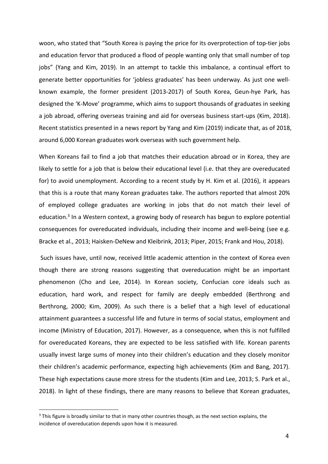woon, who stated that "South Korea is paying the price for its overprotection of top-tier jobs and education fervor that produced a flood of people wanting only that small number of top jobs" (Yang and Kim, 2019). In an attempt to tackle this imbalance, a continual effort to generate better opportunities for 'jobless graduates' has been underway. As just one wellknown example, the former president (2013-2017) of South Korea, Geun-hye Park, has designed the 'K-Move' programme, which aims to support thousands of graduates in seeking a job abroad, offering overseas training and aid for overseas business start-ups (Kim, 2018). Recent statistics presented in a news report by Yang and Kim (2019) indicate that, as of 2018, around 6,000 Korean graduates work overseas with such government help.

When Koreans fail to find a job that matches their education abroad or in Korea, they are likely to settle for a job that is below their educational level (i.e. that they are overeducated for) to avoid unemployment. According to a recent study by H. Kim et al. (2016), it appears that this is a route that many Korean graduates take. The authors reported that almost 20% of employed college graduates are working in jobs that do not match their level of education.<sup>[3](#page-4-0)</sup> In a Western context, a growing body of research has begun to explore potential consequences for overeducated individuals, including their income and well-being (see e.g. Bracke et al., 2013; Haisken-DeNew and Kleibrink, 2013; Piper, 2015; Frank and Hou,2018).

Such issues have, until now, received little academic attention in the context of Korea even though there are strong reasons suggesting that overeducation might be an important phenomenon (Cho and Lee, 2014). In Korean society, Confucian core ideals such as education, hard work, and respect for family are deeply embedded (Berthrong and Berthrong, 2000; Kim, 2009). As such there is a belief that a high level of educational attainment guarantees a successful life and future in terms of social status, employment and income (Ministry of Education, 2017). However, as a consequence, when this is not fulfilled for overeducated Koreans, they are expected to be less satisfied with life. Korean parents usually invest large sums of money into their children's education and they closely monitor their children's academic performance, expecting high achievements (Kim and Bang, 2017). These high expectations cause more stress for the students (Kim and Lee, 2013; S. Park et al., 2018). In light of these findings, there are many reasons to believe that Korean graduates,

<span id="page-4-0"></span><sup>&</sup>lt;sup>3</sup> This figure is broadly similar to that in many other countries though, as the next section explains, the incidence of overeducation depends upon how it is measured.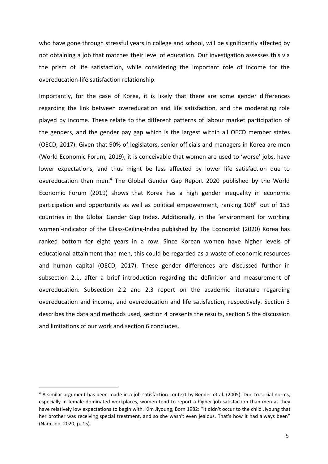who have gone through stressful years in college and school, will be significantly affected by not obtaining a job that matches their level of education. Our investigation assesses this via the prism of life satisfaction, while considering the important role of income for the overeducation-life satisfaction relationship.

Importantly, for the case of Korea, it is likely that there are some gender differences regarding the link between overeducation and life satisfaction, and the moderating role played by income. These relate to the different patterns of labour market participation of the genders, and the gender pay gap which is the largest within all OECD member states (OECD, 2017). Given that 90% of legislators, senior officials and managers in Korea are men (World Economic Forum, 2019), it is conceivable that women are used to 'worse' jobs, have lower expectations, and thus might be less affected by lower life satisfaction due to overeducation than men.[4](#page-5-0) The Global Gender Gap Report 2020 published by the World Economic Forum (2019) shows that Korea has a high gender inequality in economic participation and opportunity as well as political empowerment, ranking 108<sup>th</sup> out of 153 countries in the Global Gender Gap Index. Additionally, in the 'environment for working women'-indicator of the Glass-Ceiling-Index published by The Economist (2020) Korea has ranked bottom for eight years in a row. Since Korean women have higher levels of educational attainment than men, this could be regarded as a waste of economic resources and human capital (OECD, 2017). These gender differences are discussed further in subsection 2.1, after a brief introduction regarding the definition and measurement of overeducation. Subsection 2.2 and 2.3 report on the academic literature regarding overeducation and income, and overeducation and life satisfaction, respectively. Section 3 describes the data and methods used, section 4 presents the results, section 5 the discussion and limitations of our work and section 6 concludes.

<span id="page-5-0"></span><sup>4</sup> A similar argument has been made in a job satisfaction context by Bender et al. (2005). Due to social norms, especially in female dominated workplaces, women tend to report a higher job satisfaction than men as they have relatively low expectations to begin with. Kim Jiyoung, Born 1982: "It didn't occur to the child Jiyoung that her brother was receiving special treatment, and so she wasn't even jealous. That's how it had always been" (Nam-Joo, 2020, p. 15).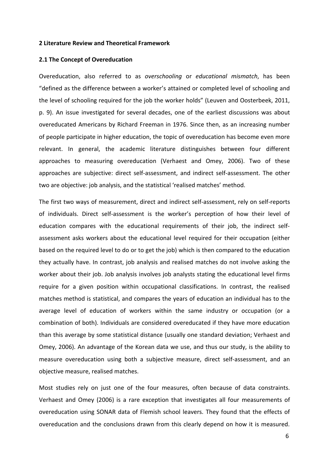#### **2 Literature Review and Theoretical Framework**

#### **2.1 The Concept of Overeducation**

Overeducation, also referred to as *overschooling* or *educational mismatch*, has been "defined as the difference between a worker's attained or completed level of schooling and the level of schooling required for the job the worker holds" (Leuven and Oosterbeek, 2011, p. 9). An issue investigated for several decades, one of the earliest discussions was about overeducated Americans by Richard Freeman in 1976. Since then, as an increasing number of people participate in higher education, the topic of overeducation has become even more relevant. In general, the academic literature distinguishes between four different approaches to measuring overeducation (Verhaest and Omey, 2006). Two of these approaches are subjective: direct self-assessment, and indirect self-assessment. The other two are objective: job analysis, and the statistical'realised matches' method.

The first two ways of measurement, direct and indirect self-assessment, rely on self-reports of individuals. Direct self-assessment is the worker's perception of how their level of education compares with the educational requirements of their job, the indirect self assessment asks workers about the educational level required for their occupation (either based on the required level to do or to get the job) which is then compared to the education they actually have. In contrast, job analysis and realised matches do not involve asking the worker about their job. Job analysis involves job analysts stating the educational level firms require for a given position within occupational classifications. In contrast, the realised matches method is statistical, and compares the years of education an individual has to the average level of education of workers within the same industry or occupation (or a combination of both). Individuals are considered overeducated if they have more education than this average by some statistical distance (usually one standard deviation; Verhaest and Omey, 2006). An advantage of the Korean data we use, and thus our study, is the ability to measure overeducation using both a subjective measure, direct self-assessment, and an objective measure, realised matches.

Most studies rely on just one of the four measures, often because of data constraints. Verhaest and Omey (2006) is a rare exception that investigates all four measurements of overeducation using SONAR data of Flemish school leavers. They found that the effects of overeducation and the conclusions drawn from this clearly depend on how it is measured.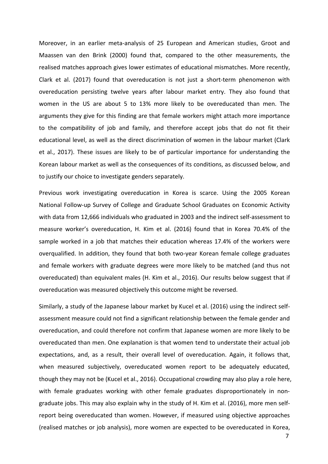Moreover, in an earlier meta-analysis of 25 European and American studies, Groot and Maassen van den Brink (2000) found that, compared to the other measurements, the realised matches approach gives lower estimates of educational mismatches. More recently, Clark et al. (2017) found that overeducation is not just a short-term phenomenon with overeducation persisting twelve years after labour market entry. They also found that women in the US are about 5 to 13% more likely to be overeducated than men. The arguments they give for this finding are that female workers might attach more importance to the compatibility of job and family, and therefore accept jobs that do not fit their educational level, as well as the direct discrimination of women in the labour market (Clark et al.,2017). These issues are likely to be of particular importance for understanding the Korean labour market as well as the consequences of its conditions, as discussed below, and to justify our choice to investigate genders separately.

Previous work investigating overeducation in Korea is scarce. Using the 2005 Korean National Follow-up Survey of College and Graduate School Graduates on Economic Activity with data from 12,666 individuals who graduated in 2003 and the indirect self-assessment to measure worker's overeducation, H. Kim et al. (2016) found that in Korea 70.4% of the sample worked in a job that matches their education whereas 17.4% of the workers were overqualified. In addition, they found that both two-year Korean female college graduates and female workers with graduate degrees were more likely to be matched (and thus not overeducated) than equivalent males (H. Kim et al., 2016). Our results below suggest that if overeducation was measured objectively this outcome might be reversed.

Similarly, a study of the Japanese labour market by Kucel et al. (2016) using the indirect selfassessment measure could not find a significant relationship between the female gender and overeducation, and could therefore not confirm that Japanese women are more likely to be overeducated than men. One explanation is that women tend to understate their actual job expectations, and, as a result, their overall level of overeducation. Again, it follows that, when measured subjectively, overeducated women report to be adequately educated, though they may not be (Kucel et al., 2016). Occupational crowding may also play a role here, with female graduates working with other female graduates disproportionately in non graduate jobs. This may also explain why in the study of H. Kim et al. (2016), more men selfreport being overeducated than women. However, if measured using objective approaches (realised matches or job analysis), more women are expected to be overeducated in Korea,

7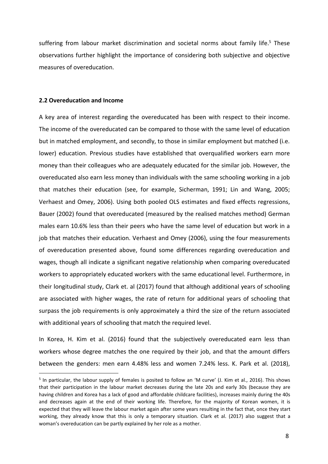suffering from labour market discrimination and societal norms about family life.<sup>[5](#page-8-0)</sup> These observations further highlight the importance of considering both subjective and objective measures of overeducation.

#### **2.2 Overeducation and Income**

A key area of interest regarding the overeducated has been with respect to their income. The income of the overeducated can be compared to those with the same level of education but in matched employment, and secondly, to those in similar employment but matched (i.e. lower) education. Previous studies have established that overqualified workers earn more money than their colleagues who are adequately educated for the similar job.However, the overeducated also earn less money than individuals with the same schooling working in a job that matches their education (see, for example, Sicherman, 1991; Lin and Wang, 2005; Verhaest and Omey, 2006). Using both pooled OLS estimates and fixed effects regressions, Bauer (2002) found that overeducated (measured by the realised matches method) German males earn 10.6% less than their peers who have the same level of education but work in a job that matches their education. Verhaest and Omey (2006), using the four measurements of overeducation presented above, found some differences regarding overeducation and wages, though all indicate a significant negative relationship when comparing overeducated workers to appropriately educated workers with the same educational level. Furthermore, in their longitudinal study, Clark et. al (2017) found that although additional years of schooling are associated with higher wages, the rate of return for additional years of schooling that surpass the job requirements is only approximately a third the size of the return associated with additional years of schooling that match the required level.

In Korea, H. Kim et al. (2016) found that the subjectively overeducated earn less than workers whose degree matches the one required by their job, and that the amount differs between the genders: men earn 4.48% less and women 7.24% less. K. Park et al. (2018),

<span id="page-8-0"></span> $^5$  In particular, the labour supply of females is posited to follow an 'M curve' (J. Kim et al., 2016). This shows that their participation in the labour market decreases during the late 20s and early 30s (because they are having children and Korea has a lack of good and affordable childcare facilities), increases mainly during the 40s and decreases again at the end of their working life. Therefore, for the majority of Korean women, it is expected that they will leave the labour market again after some years resulting in the fact that, once they start working, they already know that this is only a temporary situation. Clark et al. (2017) also suggest that a woman's overeducation can be partly explained by her role as a mother.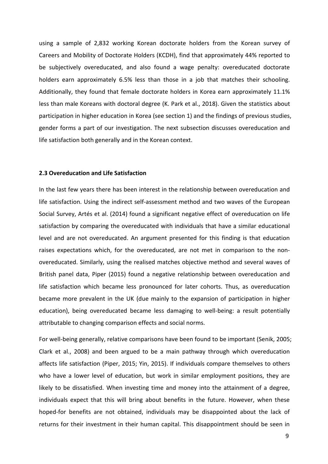using a sample of 2,832 working Korean doctorate holders from the Korean survey of Careers and Mobility of Doctorate Holders (KCDH), find that approximately 44% reported to be subjectively overeducated, and also found a wage penalty: overeducated doctorate holders earn approximately 6.5% less than those in a job that matches their schooling. Additionally, they found that female doctorate holders in Korea earn approximately 11.1% less than male Koreans with doctoral degree (K. Park et al., 2018). Given the statistics about participation in higher education in Korea (see section 1) and the findings of previous studies, gender forms a part of our investigation. The next subsection discusses overeducation and life satisfaction both generally and in the Korean context.

#### **2.3 Overeducation and Life Satisfaction**

In the last few years there has been interest in the relationship between overeducation and life satisfaction. Using the indirect self-assessment method and two waves of the European Social Survey, Artés et al. (2014) found a significant negative effect of overeducation on life satisfaction by comparing the overeducated with individuals that have a similar educational level and are not overeducated. An argument presented for this finding is that education raises expectations which, for the overeducated, are not met in comparison to the non overeducated. Similarly, using the realised matches objective method and several waves of British panel data, Piper (2015) found a negative relationship between overeducation and life satisfaction which became less pronounced for later cohorts. Thus, as overeducation became more prevalent in the UK (due mainly to the expansion of participation in higher education), being overeducated became less damaging to well-being: a result potentially attributable to changing comparison effects and social norms.

For well-being generally, relative comparisons have been found to be important (Senik, 2005; Clark et al.,2008) and been argued to be a main pathway through which overeducation affects life satisfaction (Piper, 2015; Yin, 2015). If individuals compare themselves to others who have a lower level of education, but work in similar employment positions, they are likely to be dissatisfied. When investing time and money into the attainment of a degree, individuals expect that this will bring about benefits in the future. However, when these hoped-for benefits are not obtained, individuals may be disappointed about the lack of returns for their investment in their human capital. This disappointment should be seen in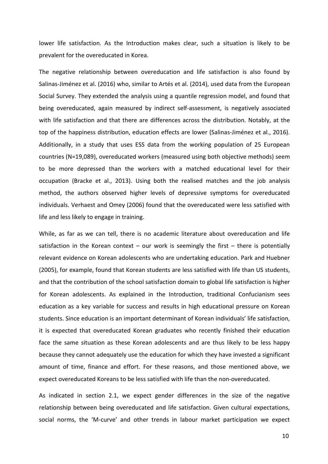lower life satisfaction. As the Introduction makes clear, such a situation is likely to be prevalent for the overeducated in Korea.

The negative relationship between overeducation and life satisfaction is also found by Salinas-Jiménez et al. (2016) who, similar to Artés et al. (2014), used data from the European Social Survey. They extended the analysis using a quantile regression model, and found that being overeducated, again measured by indirect self-assessment, is negatively associated with life satisfaction and that there are differences across the distribution. Notably, at the top of the happiness distribution, education effects are lower (Salinas-Jiménez et al., 2016). Additionally, in astudy that uses ESS data from the working population of 25 European countries (N=19,089), overeducated workers (measured using both objective methods) seem to be more depressed than the workers with a matched educational level for their occupation (Bracke et al., 2013). Using both the realised matches and the job analysis method, the authors observed higher levels of depressive symptoms for overeducated individuals. Verhaest and Omey (2006) found that the overeducated were less satisfied with life and less likely to engage in training.

While, as far as we can tell, there is no academic literature about overeducation and life satisfaction in the Korean context – our work is seemingly the first – there is potentially relevant evidence on Korean adolescents who are undertaking education. Park and Huebner (2005), for example, found that Korean students are less satisfied with life than US students,<br>and that the contribution of the school satisfaction domain to global life satisfaction is higher for Korean adolescents. As explained in the Introduction, traditional Confucianism sees education as a key variable for success and results in high educational pressure on Korean students. Since education is an important determinant of Korean individuals' life satisfaction, it is expected that overeducated Korean graduates who recently finished their education face the same situation as these Korean adolescents and are thus likely to be less happy because they cannot adequately use the education for which they have invested a significant amount of time, finance and effort. For these reasons, and those mentioned above, we expect overeducated Koreans to be less satisfied with life than the non-overeducated.

As indicated in section 2.1, we expect gender differences in the size of the negative relationship between being overeducated and life satisfaction. Given cultural expectations, social norms, the 'M-curve' and other trends in labour market participation we expect

10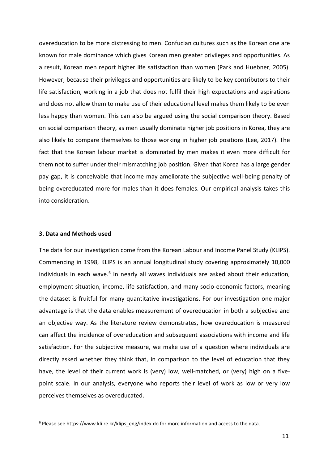overeducation to be more distressing to men. Confucian cultures such as the Korean one are known for male dominance which gives Korean men greater privileges and opportunities. As a result, Korean men report higher life satisfaction than women (Park and Huebner, 2005). However, because their privileges and opportunities are likely to be key contributors to their life satisfaction, working in a job that does not fulfil their high expectations and aspirations and does not allow them to make use of their educational level makes them likely to be even less happy than women. This can also be argued using the social comparison theory. Based on social comparison theory, as men usually dominate higher job positions in Korea, they are also likely to compare themselves to those working in higher job positions (Lee, 2017). The fact that the Korean labour market is dominated by men makes it even more difficult for them not to suffer under their mismatching job position. Given that Korea has a large gender pay gap, it is conceivable that income may ameliorate the subjective well-being penalty of being overeducated more for males than it does females. Our empirical analysis takes this into consideration.

#### **3. Data and Methods used**

The data for our investigation come from the Korean Labour and Income Panel Study (KLIPS). Commencing in 1998, KLIPS is an annual longitudinal study covering approximately 10,000 individuals in each wave.<sup>[6](#page-11-0)</sup> In nearly all waves individuals are asked about their education, employment situation, income, life satisfaction, and many socio-economic factors, meaning the dataset is fruitful for many quantitative investigations. For our investigation one major advantage is that the data enables measurement of overeducation in both a subjective and an objective way. As the literature review demonstrates, how overeducation is measured can affect the incidence of overeducation and subsequent associations with income and life satisfaction. For the subjective measure, we make use of a question where individuals are directly asked whether they think that, in comparison to the level of education that they have, the level of their current work is (very) low, well-matched, or (very) high on a fivepoint scale. In our analysis, everyone who reports their levelof work as low or very low perceives themselves as overeducated.

<span id="page-11-0"></span><sup>6</sup> Please see [https://www.kli.re.kr/klips\\_eng/index.do](https://www.kli.re.kr/klips_eng/index.do) for more information and access to the data.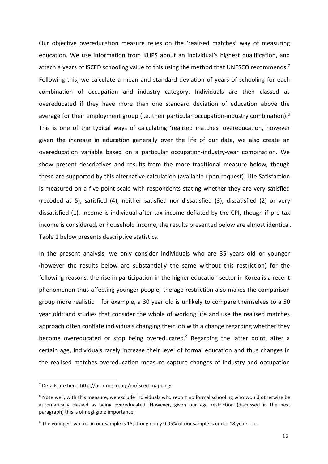Our objective overeducation measure relies on the 'realised matches' way of measuring education. We use information from KLIPS about an individual's highest qualification, and attach a years of ISCED schooling value to this using the method that UNESCO recommends.<sup>[7](#page-12-0)</sup> Following this, we calculate a mean and standard deviation of years of schooling for each combination of occupation and industry category. Individuals are then classed as overeducated if they have more than one standard deviation of education above the average for their employment group (i.e. their particular occupation-industry combination).<sup>[8](#page-12-1)</sup> This is one of the typical ways of calculating 'realised matches' overeducation, however given the increase in education generally over the life of our data, we also create an overeducation variable based on a particular occupation-industry-year combination. We show present descriptives and results from the more traditional measure below, though these are supported by this alternative calculation (available upon request). Life Satisfaction is measured on a five-point scale with respondents stating whether they are very satisfied (recoded as 5), satisfied (4), neither satisfied nor dissatisfied (3), dissatisfied (2) or very dissatisfied (1). Income is individual after-tax income deflated by the CPI, though if pre-tax income is considered, or household income, the results presented below are almost identical. Table 1 below presents descriptive statistics.

In the present analysis, we only consider individuals who are 35 years old or younger (however the results below are substantially the same without this restriction) for the following reasons: the rise in participation in the higher education sector in Korea is a recent phenomenon thus affecting younger people; the age restriction also makes the comparison group more realistic – for example, a 30 year old is unlikely to compare themselves to a 50 year old; and studies that consider the whole of working life and use the realised matches approach often conflate individuals changing their job with a change regarding whether they become overeducated or stop being overeducated.<sup>[9](#page-12-2)</sup> Regarding the latter point, after a certain age, individuals rarely increase their level of formal education and thus changes in the realised matches overeducation measure capture changes of industry and occupation

<span id="page-12-0"></span><sup>7</sup> Details are here: <http://uis.unesco.org/en/isced-mappings>

<span id="page-12-1"></span><sup>8</sup> Note well, with this measure, we exclude individuals who report no formal schooling who would otherwise be automatically classed as being overeducated. However, given our age restriction (discussed in the next paragraph) this is of negligible importance.

<span id="page-12-2"></span><sup>9</sup> The youngest worker in our sample is 15, though only 0.05% of our sample is under 18 years old.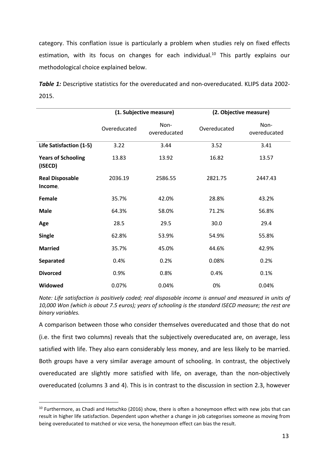category. This conflation issue is particularly a problem when studies rely on fixed effects estimation, with its focus on changes for each individual.<sup>[10](#page-13-0)</sup> This partly explains our methodological choice explained below.

*Table 1:* Descriptive statistics for the overeducated and non-overeducated. KLIPS data 2002- 2015.

|                                      |              | (1. Subjective measure) | (2. Objective measure) |                      |  |
|--------------------------------------|--------------|-------------------------|------------------------|----------------------|--|
|                                      | Overeducated | Non-<br>overeducated    | Overeducated           | Non-<br>overeducated |  |
| Life Satisfaction (1-5)              | 3.22         | 3.44                    | 3.52                   | 3.41                 |  |
| <b>Years of Schooling</b><br>(ISECD) | 13.83        | 13.92                   | 16.82                  | 13.57                |  |
| <b>Real Disposable</b><br>Income,    | 2036.19      | 2586.55                 | 2821.75                | 2447.43              |  |
| Female                               | 35.7%        | 42.0%                   | 28.8%                  | 43.2%                |  |
| <b>Male</b>                          | 64.3%        | 58.0%                   | 71.2%                  | 56.8%                |  |
| Age                                  | 28.5         | 29.5                    | 30.0                   | 29.4                 |  |
| <b>Single</b>                        | 62.8%        | 53.9%                   | 54.9%                  | 55.8%                |  |
| <b>Married</b>                       | 35.7%        | 45.0%                   | 44.6%                  | 42.9%                |  |
| Separated                            | 0.4%         | 0.2%                    | 0.08%                  | 0.2%                 |  |
| <b>Divorced</b>                      | 0.9%         | 0.8%                    | 0.4%                   | 0.1%                 |  |
| Widowed                              | 0.07%        | 0.04%                   | 0%                     | 0.04%                |  |

*Note: Life satisfaction is positively coded; real disposable income is annualand measured in units of 10,000 Won (which is about7.5 euros); years of schooling is the standard ISECD measure; the rest are binary variables.*

A comparison between those who consider themselves overeducated and those that do not (i.e. the first two columns) reveals that the subjectively overeducated are, on average, less satisfied with life. They also earn considerably less money, and are less likely to be married. Both groups have a very similar average amount of schooling. In contrast, the objectively overeducated are slightly more satisfied with life, on average, than the non-objectively overeducated (columns 3 and 4). This is in contrast to the discussion in section 2.3, however

<span id="page-13-0"></span><sup>&</sup>lt;sup>10</sup> Furthermore, as Chadi and Hetschko (2016) show, there is often a honeymoon effect with new jobs that can result in higher life satisfaction. Dependent upon whether a change in job categorises someone as moving from being overeducated to matched or vice versa, the honeymoon effect can bias the result.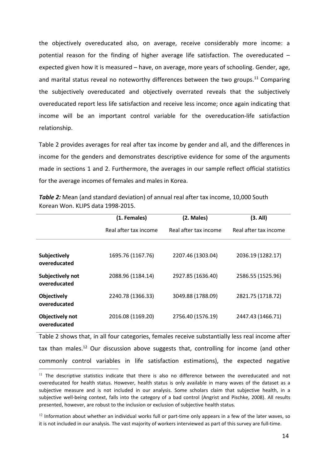the objectively overeducated also, on average, receive considerably more income: a potential reason for the finding of higher average life satisfaction. The overeducated  $$ expected given how it is measured – have, on average, more years of schooling. Gender, age, and marital status reveal no noteworthy differences between the two groups.<sup>[11](#page-14-0)</sup> Comparing the subjectively overeducated and objectively overrated reveals that the subjectively overeducated report less life satisfaction and receive less income; once again indicating that income will be an important control variable for the overeducation-life satisfaction relationship.

Table 2 provides averages for real after tax income by gender and all, and the differences in income for the genders and demonstrates descriptive evidence for some of the arguments made in sections 1 and 2. Furthermore, the averages in our sample reflect official statistics for the average incomes of females and males in Korea.

|                                  | (1. Females)          | (2. Males)            | (3. All)              |
|----------------------------------|-----------------------|-----------------------|-----------------------|
|                                  | Real after tax income | Real after tax income | Real after tax income |
| Subjectively<br>overeducated     | 1695.76 (1167.76)     | 2207.46 (1303.04)     | 2036.19 (1282.17)     |
| Subjectively not<br>overeducated | 2088.96 (1184.14)     | 2927.85 (1636.40)     | 2586.55 (1525.96)     |
| Objectively<br>overeducated      | 2240.78 (1366.33)     | 3049.88 (1788.09)     | 2821.75 (1718.72)     |
| Objectively not<br>overeducated  | 2016.08 (1169.20)     | 2756.40 (1576.19)     | 2447.43 (1466.71)     |

**Table 2:** Mean (and standard deviation) of annual real after tax income, 10,000 South Korean Won. KLIPS data 1998-2015.

Table 2 shows that, in all four categories, females receive substantially less real income after tax than males.<sup>[12](#page-14-1)</sup> Our discussion above suggests that, controlling for income (and other commonly control variables in life satisfaction estimations), the expected negative

<span id="page-14-0"></span><sup>&</sup>lt;sup>11</sup> The descriptive statistics indicate that there is also no difference between the overeducated and not overeducated for health status. However, health status is only available in many waves of the dataset as a subjective measure and is not included in our analysis. Some scholars claim that subjective health, in a subjective well-being context, falls into the category of a bad control (Angrist and Pischke, 2008). All results presented, however, are robust to the inclusion or exclusion of subjective health status.

<span id="page-14-1"></span> $^{12}$  Information about whether an individual works full or part-time only appears in a few of the later waves, so it is not included in our analysis. The vast majority of workers interviewed as part of this survey are full-time.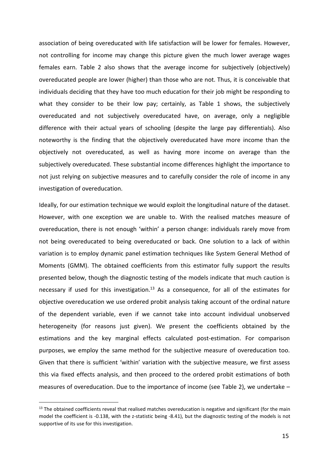association of being overeducated with life satisfaction will be lower for females. However, not controlling for income may change this picture given the much lower average wages females earn. Table 2 also shows that the average income for subjectively (objectively) overeducated people are lower (higher) than those who are not. Thus, it is conceivable that individuals deciding that they have too much education for their job might be responding to what they consider to be their low pay; certainly, as Table 1 shows, the subjectively overeducated and not subjectively overeducated have, on average, only a negligible difference with their actual years of schooling (despite the large pay differentials). Also noteworthy is the finding that the objectively overeducated have more income than the objectively not overeducated, as well as having more income on average than the subjectively overeducated. These substantial income differences highlight the importance to not just relying on subjective measures and to carefully consider the role of income in any investigation of overeducation.

Ideally, for our estimation technique we would exploit the longitudinal nature of the dataset. However, with one exception we are unable to. With the realised matches measure of overeducation, there is not enough 'within' a person change: individuals rarely move from not being overeducated to being overeducated or back. One solution to alack of within variation is to employ dynamic panel estimation techniques like System General Method of Moments (GMM). The obtained coefficients from this estimator fully support the results presented below, though the diagnostic testing of the models indicate that much caution is necessary if used for this investigation. $13$  As a consequence, for all of the estimates for objective overeducation we use ordered probit analysis taking account of the ordinal nature of the dependent variable, even if we cannot take into account individual unobserved heterogeneity (for reasons just given). We present the coefficients obtained by the estimations and the key marginal effects calculated post-estimation. For comparison purposes, we employ the same method for the subjective measure of overeducation too. Given that there is sufficient 'within' variation with the subjective measure, we first assess this via fixed effects analysis, and then proceed to the ordered probit estimations of both measures of overeducation. Due to the importance of income (see Table 2), we undertake –

<span id="page-15-0"></span><sup>&</sup>lt;sup>13</sup> The obtained coefficients reveal that realised matches overeducation is negative and significant (for the main model the coefficient is -0.138, with the z-statistic being -8.41), but the diagnostic testing of the models is not supportive of its use for this investigation.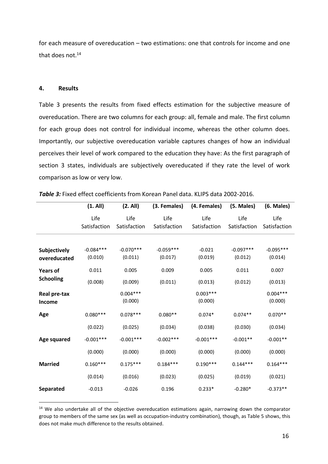for each measure of overeducation – two estimations: one that controls for income and one that does not. $14$ 

## **4. Results**

Table 3 presents the results from fixed effects estimation for the subjective measure of overeducation. There are two columns for each group: all, female and male. The first column for each group does not control for individual income, whereas the other column does. Importantly, our subjective overeducation variable captures changes of how an individual perceives their level of work compared to the education they have: As the first paragraph of section 3 states, individuals are subjectively overeducated if they rate the level of work comparison as low or very low.

|                        | (1. All)     | (2. All)              | (3. Females) | (4. Females)          | (5. Males)   | (6. Males)            |
|------------------------|--------------|-----------------------|--------------|-----------------------|--------------|-----------------------|
|                        | Life         | Life                  | Life         | Life                  | Life         | Life                  |
|                        | Satisfaction | Satisfaction          | Satisfaction | Satisfaction          | Satisfaction | Satisfaction          |
| Subjectively           | $-0.084***$  | $-0.070***$           | $-0.059***$  | $-0.021$              | $-0.097***$  | $-0.095***$           |
| overeducated           | (0.010)      | (0.011)               | (0.017)      | (0.019)               | (0.012)      | (0.014)               |
| <b>Years of</b>        | 0.011        | 0.005                 | 0.009        | 0.005                 | 0.011        | 0.007                 |
| <b>Schooling</b>       | (0.008)      | (0.009)               | (0.011)      | (0.013)               | (0.012)      | (0.013)               |
| Real pre-tax<br>Income |              | $0.004***$<br>(0.000) |              | $0.003***$<br>(0.000) |              | $0.004***$<br>(0.000) |
| Age                    | $0.080***$   | $0.078***$            | $0.080**$    | $0.074*$              | $0.074**$    | $0.070**$             |
|                        | (0.022)      | (0.025)               | (0.034)      | (0.038)               | (0.030)      | (0.034)               |
| Age squared            | $-0.001***$  | $-0.001***$           | $-0.002***$  | $-0.001***$           | $-0.001**$   | $-0.001**$            |
|                        | (0.000)      | (0.000)               | (0.000)      | (0.000)               | (0.000)      | (0.000)               |
| <b>Married</b>         | $0.160***$   | $0.175***$            | $0.184***$   | $0.190***$            | $0.144***$   | $0.164***$            |
|                        | (0.014)      | (0.016)               | (0.023)      | (0.025)               | (0.019)      | (0.021)               |
| <b>Separated</b>       | $-0.013$     | $-0.026$              | 0.196        | $0.233*$              | $-0.280*$    | $-0.373**$            |

| Table 3: Fixed effect coefficients from Korean Panel data. KLIPS data 2002-2016. |  |
|----------------------------------------------------------------------------------|--|
|----------------------------------------------------------------------------------|--|

<span id="page-16-0"></span><sup>&</sup>lt;sup>14</sup> We also undertake all of the objective overeducation estimations again, narrowing down the comparator group to members of the same sex (as well as occupation-industry combination), though, as Table 5 shows, this does not make much difference to the results obtained.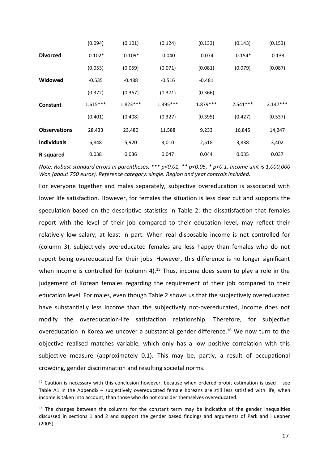|                     | (0.094)    | (0.101)    | (0.124)    | (0.133)    | (0.143)    | (0.153)    |
|---------------------|------------|------------|------------|------------|------------|------------|
| <b>Divorced</b>     | $-0.102*$  | $-0.109*$  | $-0.040$   | $-0.074$   | $-0.154*$  | $-0.133$   |
|                     | (0.053)    | (0.059)    | (0.071)    | (0.081)    | (0.079)    | (0.087)    |
| Widowed             | $-0.535$   | $-0.488$   | $-0.516$   | $-0.481$   |            |            |
|                     | (0.372)    | (0.367)    | (0.371)    | (0.366)    |            |            |
| Constant            | $1.615***$ | $1.823***$ | $1.395***$ | $1.879***$ | $2.541***$ | $2.147***$ |
|                     |            |            |            |            |            |            |
|                     | (0.401)    | (0.408)    | (0.327)    | (0.395)    | (0.427)    | (0.537)    |
| <b>Observations</b> | 28,433     | 23,480     | 11,588     | 9,233      | 16,845     | 14,247     |
| <b>Individuals</b>  | 6,848      | 5,920      | 3,010      | 2,518      | 3,838      | 3,402      |

*Note: Robust standard errors in parentheses, \*\*\* p<0.01, \*\* p<0.05, \* p<0.1. Income unit is 1,000,000 Won (about 750 euros). Reference category: single. Region and year controls included.*

For everyone together and males separately, subjective overeducation is associated with lower life satisfaction. However, for females the situation is less clear cut and supports the speculation based on the descriptive statistics in Table 2: the dissatisfaction that females report with the level of their job compared to their education level, may reflect their relatively low salary, at least in part. When real disposable income is not controlled for (column 3), subjectively overeducated females are less happy than females who do not report being overeducated for their jobs. However, this difference is no longer significant when income is controlled for (column 4).<sup>[15](#page-17-0)</sup> Thus, income does seem to play a role in the judgement of Korean females regarding the requirement of their job compared to their education level. For males, even though Table 2 shows us that the subjectively overeducated have substantially less income than the subjectively not-overeducated, income does not modify the overeducation-life satisfaction relationship. Therefore, for subjective overeducation in Korea we uncover a substantial gender difference.<sup>[16](#page-17-1)</sup> We now turn to the objective realised matches variable, which only has a low positive correlation with this subjective measure (approximately 0.1). This may be, partly, a result of occupational crowding, gender discrimination and resulting societal norms.

<span id="page-17-0"></span> $15$  Caution is necessary with this conclusion however, because when ordered probit estimation is used – see Table A1 in the Appendix – subjectively overeducated female Koreans are still less satisfied with life, when income is taken into account, than those who do not consider themselves overeducated.

<span id="page-17-1"></span><sup>&</sup>lt;sup>16</sup> The changes between the columns for the constant term may be indicative of the gender inequalities discussed in sections 1 and 2 and support the gender based findings and arguments of Park and Huebner (2005).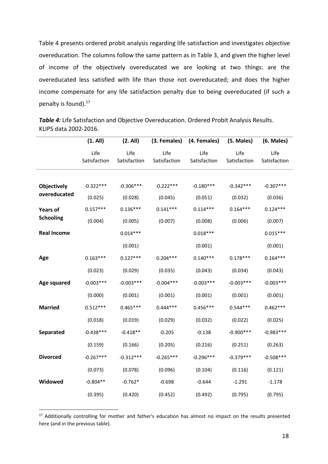Table 4 presents ordered probit analysis regarding life satisfaction and investigates objective overeducation. The columns follow the same pattern as in Table 3, and given the higher level of income of the objectively overeducated we are looking at two things: are the overeducated less satisfied with life than those not overeducated; and does the higher income compensate for any life satisfaction penalty due to being overeducated (if such a penalty is found).[17](#page-18-0)

**Table 4:** Life Satisfaction and Objective Overeducation. Ordered Probit Analysis Results. KLIPS data 2002-2016.

|                    | (1. All)     | (2. All)     |              | (3. Females) (4. Females) | (5. Males)   | $(6.$ Males $)$ |
|--------------------|--------------|--------------|--------------|---------------------------|--------------|-----------------|
|                    | Life         | Life         | Life         | Life                      | Life         | Life            |
|                    | Satisfaction | Satisfaction | Satisfaction | Satisfaction              | Satisfaction | Satisfaction    |
|                    |              |              |              |                           |              |                 |
| Objectively        | $-0.322***$  | $-0.306***$  | $-0.222***$  | $-0.180***$               | $-0.342***$  | $-0.307***$     |
| overeducated       | (0.025)      | (0.028)      | (0.045)      | (0.051)                   | (0.032)      | (0.036)         |
| <b>Years of</b>    | $0.157***$   | $0.136***$   | $0.141***$   | $0.114***$                | $0.164***$   | $0.124***$      |
| <b>Schooling</b>   | (0.004)      | (0.005)      | (0.007)      | (0.008)                   | (0.006)      | (0.007)         |
| <b>Real Income</b> |              | $0.014***$   |              | $0.018***$                |              | $0.015***$      |
|                    |              | (0.001)      |              | (0.001)                   |              | (0.001)         |
| Age                | $0.163***$   | $0.127***$   | $0.204***$   | $0.140***$                | $0.178***$   | $0.164***$      |
|                    | (0.023)      | (0.029)      | (0.035)      | (0.043)                   | (0.034)      | (0.043)         |
| Age squared        | $-0.003***$  | $-0.003***$  | $-0.004***$  | $-0.003***$               | $-0.003***$  | $-0.003***$     |
|                    | (0.000)      | (0.001)      | (0.001)      | (0.001)                   | (0.001)      | (0.001)         |
| <b>Married</b>     | $0.512***$   | $0.465***$   | $0.444***$   | $0.456***$                | $0.544***$   | $0.462***$      |
|                    | (0.018)      | (0.019)      | (0.029)      | (0.032)                   | (0.022)      | (0.025)         |
| <b>Separated</b>   | $-0.438***$  | $-0.418**$   | $-0.205$     | $-0.138$                  | $-0.900***$  | $-0.983***$     |
|                    | (0.159)      | (0.166)      | (0.205)      | (0.216)                   | (0.251)      | (0.263)         |
| <b>Divorced</b>    | $-0.267***$  | $-0.312***$  | $-0.265***$  | $-0.296***$               | $-0.379***$  | $-0.508***$     |
|                    | (0.073)      | (0.078)      | (0.096)      | (0.104)                   | (0.116)      | (0.121)         |
| Widowed            | $-0.804**$   | $-0.762*$    | $-0.698$     | $-0.644$                  | $-1.291$     | $-1.178$        |
|                    | (0.395)      | (0.420)      | (0.452)      | (0.492)                   | (0.795)      | (0.795)         |
|                    |              |              |              |                           |              |                 |

<span id="page-18-0"></span><sup>&</sup>lt;sup>17</sup> Additionally controlling for mother and father's education has almost no impact on the results presented here (and in the previous table).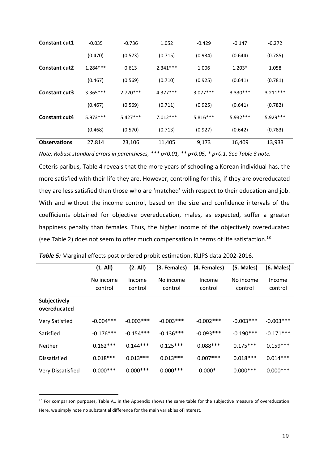| <b>Constant cut1</b> | $-0.035$   | $-0.736$   | 1.052      | $-0.429$   | $-0.147$   | $-0.272$   |  |
|----------------------|------------|------------|------------|------------|------------|------------|--|
|                      | (0.470)    | (0.573)    | (0.715)    | (0.934)    | (0.644)    | (0.785)    |  |
| <b>Constant cut2</b> | $1.284***$ | 0.613      | $2.341***$ | 1.006      | $1.203*$   | 1.058      |  |
|                      | (0.467)    | (0.569)    | (0.710)    | (0.925)    | (0.641)    | (0.781)    |  |
| <b>Constant cut3</b> | $3.365***$ | $2.720***$ | $4.377***$ | $3.077***$ | $3.330***$ | $3.211***$ |  |
|                      | (0.467)    | (0.569)    | (0.711)    | (0.925)    | (0.641)    | (0.782)    |  |
| <b>Constant cut4</b> | $5.973***$ | $5.427***$ | $7.012***$ | $5.816***$ | 5.932 ***  | 5.929 ***  |  |
|                      | (0.468)    | (0.570)    | (0.713)    | (0.927)    | (0.642)    | (0.783)    |  |
| <b>Observations</b>  | 27,814     | 23,106     | 11,405     | 9,173      | 16,409     | 13,933     |  |

*Note: Robust standard errors in parentheses, \*\*\* p<0.01, \*\* p<0.05, \* p<0.1. See Table 3 note.*

Ceteris paribus, Table 4 reveals that the more years of schooling a Korean individual has, the more satisfied with their life they are. However, controlling for this, if they are overeducated they are less satisfied than those who are 'matched' with respect to their education and job. With and without the income control, based on the size and confidence intervals of the coefficients obtained for objective overeducation, males, as expected, suffer a greater happiness penalty than females. Thus, the higher income of the objectively overeducated (see Table 2) does not seem to offer much compensation in terms of life satisfaction.<sup>[18](#page-19-0)</sup>

|                              | (1. All)             | (2. All)          | (3. Females)         | (4. Females)      | (5. Males)           | $(6.$ Males $)$   |
|------------------------------|----------------------|-------------------|----------------------|-------------------|----------------------|-------------------|
|                              | No income<br>control | Income<br>control | No income<br>control | Income<br>control | No income<br>control | Income<br>control |
| Subjectively<br>overeducated |                      |                   |                      |                   |                      |                   |
| Very Satisfied               | $-0.004***$          | $-0.003***$       | $-0.003***$          | $-0.002***$       | $-0.003***$          | $-0.003***$       |
| Satisfied                    | $-0.176***$          | $-0.154***$       | $-0.136***$          | $-0.093***$       | $-0.190***$          | $-0.171***$       |
| Neither                      | $0.162***$           | $0.144***$        | $0.125***$           | $0.088***$        | $0.175***$           | $0.159***$        |
| <b>Dissatisfied</b>          | $0.018***$           | $0.013***$        | $0.013***$           | $0.007***$        | $0.018***$           | $0.014***$        |
| <b>Very Dissatisfied</b>     | $0.000***$           | $0.000***$        | $0.000***$           | $0.000*$          | $0.000***$           | $0.000***$        |
|                              |                      |                   |                      |                   |                      |                   |

| Table 5: Marginal effects post ordered probit estimation. KLIPS data 2002-2016. |  |
|---------------------------------------------------------------------------------|--|
|---------------------------------------------------------------------------------|--|

<span id="page-19-0"></span> $18$  For comparison purposes, Table A1 in the Appendix shows the same table for the subjective measure of overeducation. Here, we simply note no substantial difference for the main variables of interest.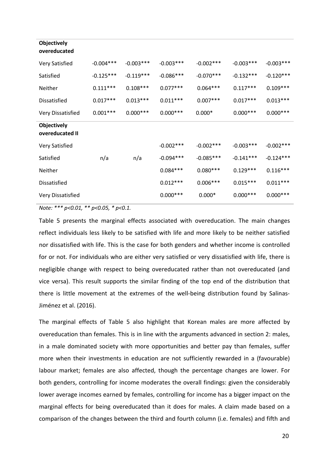| <b>Objectively</b><br>overeducated    |             |             |             |             |             |             |
|---------------------------------------|-------------|-------------|-------------|-------------|-------------|-------------|
| Very Satisfied                        | $-0.004***$ | $-0.003***$ | $-0.003***$ | $-0.002***$ | $-0.003***$ | $-0.003***$ |
| Satisfied                             | $-0.125***$ | $-0.119***$ | $-0.086***$ | $-0.070***$ | $-0.132***$ | $-0.120***$ |
| Neither                               | $0.111***$  | $0.108***$  | $0.077***$  | $0.064***$  | $0.117***$  | $0.109***$  |
| Dissatisfied                          | $0.017***$  | $0.013***$  | $0.011***$  | $0.007***$  | $0.017***$  | $0.013***$  |
| Very Dissatisfied                     | $0.001***$  | $0.000***$  | $0.000***$  | $0.000*$    | $0.000***$  | $0.000***$  |
| <b>Objectively</b><br>overeducated II |             |             |             |             |             |             |
| Very Satisfied                        |             |             | $-0.002***$ | $-0.002***$ | $-0.003***$ | $-0.002***$ |
| Satisfied                             | n/a         | n/a         | $-0.094***$ | $-0.085***$ | $-0.141***$ | $-0.124***$ |
| Neither                               |             |             | $0.084***$  | $0.080***$  | $0.129***$  | $0.116***$  |
| Dissatisfied                          |             |             | $0.012***$  | $0.006***$  | $0.015***$  | $0.011***$  |
| Very Dissatisfied                     |             |             | $0.000***$  | $0.000*$    | $0.000***$  | $0.000***$  |

*Note: \*\*\* p<0.01, \*\* p<0.05, \* p<0.1.*

Table 5 presents the marginal effects associated with overeducation. The main changes reflect individuals less likely to be satisfied with life and more likely to be neither satisfied nor dissatisfied with life. This is the case for both genders and whether income is controlled for or not. For individuals who are either very satisfied or very dissatisfied with life, there is negligible change with respect to being overeducated rather than not overeducated (and vice versa). This result supports the similar finding of the top end of the distribution that there is little movement at the extremes of the well-being distribution found by Salinas-Jiménez et al. (2016).

The marginal effects of Table 5 also highlight that Korean males are more affected by overeducation than females. This is in line with the arguments advanced in section 2: males, in a male dominated society with more opportunities and better pay than females, suffer more when their investments in education are not sufficiently rewarded in a (favourable) labour market; females are also affected, though the percentage changes are lower. For both genders, controlling for income moderates the overall findings: given the considerably lower average incomes earned by females, controlling for income has a bigger impact on the marginal effects for being overeducated than it does for males. A claim made based on a comparison of the changes between the third and fourth column (i.e. females) and fifth and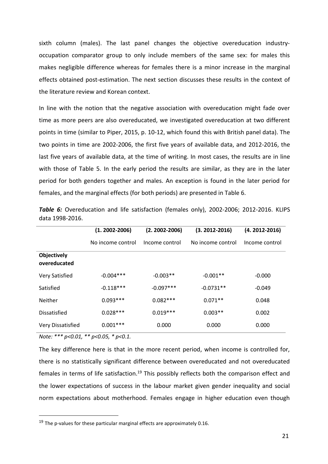sixth column (males). The last panel changes the objective overeducation industryoccupation comparator group to only include members of the same sex: for males this makes negligible difference whereas for females there is a minor increase in the marginal effects obtained post-estimation. The next section discusses these results in the context of the literature review and Korean context.

In line with the notion that the negative association with overeducation might fade over time as more peers are also overeducated, we investigated overeducation at two different points in time (similar to Piper, 2015, p. 10-12, which found this with British panel data). The two points in time are 2002-2006, the first five years of available data, and 2012-2016, the last five years of available data, at the time of writing. In most cases, the results are in line with those of Table 5. In the early period the results are similar, as they are in the later period for both genders together and males. An exception is found in the later period for females, and the marginal effects (for both periods) are presented in Table 6.

|                             | $(1.2002 - 2006)$ | $(2.2002 - 2006)$ | $(3.2012 - 2016)$ | $(4.2012 - 2016)$ |  |
|-----------------------------|-------------------|-------------------|-------------------|-------------------|--|
|                             | No income control | Income control    | No income control | Income control    |  |
| Objectively<br>overeducated |                   |                   |                   |                   |  |
| Very Satisfied              | $-0.004***$       | $-0.003**$        | $-0.001**$        | $-0.000$          |  |
| Satisfied                   | $-0.118***$       | $-0.097***$       | $-0.0731**$       | $-0.049$          |  |
| Neither                     | $0.093***$        | $0.082***$        | $0.071**$         | 0.048             |  |
| <b>Dissatisfied</b>         | $0.028***$        | $0.019***$        | $0.003**$         | 0.002             |  |
| Very Dissatisfied           | $0.001***$        | 0.000             | 0.000             | 0.000             |  |

**Table 6:** Overeducation and life satisfaction (females only), 2002-2006; 2012-2016. KLIPS data 1998-2016.

*Note: \*\*\* p<0.01, \*\* p<0.05, \* p<0.1.*

The key difference here is that in the more recent period, when income is controlled for, there is no statistically significant difference between overeducated and not overeducated females in terms of life satisfaction.<sup>[19](#page-21-0)</sup> This possibly reflects both the comparison effect and the lower expectations of success in the labour market given gender inequality and social norm expectations about motherhood. Females engage in higher education even though

<span id="page-21-0"></span> $19$  The p-values for these particular marginal effects are approximately 0.16.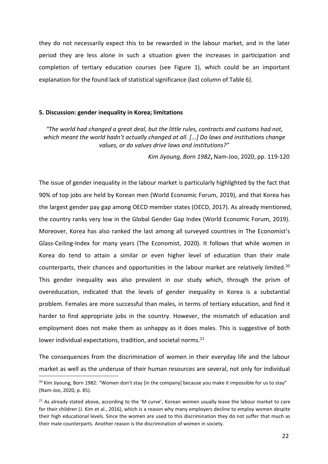they do not necessarily expect this to be rewarded in the labour market, and in the later period they are lessalone in such a situation given the increases in participation and completion of tertiary education courses (see Figure 1), which could be an important explanation for the found lack of statistical significance (last column of Table 6).

## **5. Discussion: gender inequality in Korea; limitations**

*"The world had changed a great deal, but the little rules, contracts and customs had not, which meant the world hadn't actually changed at all. [...] Do laws and institutions change values, or do values drive laws and institutions?"*

*Kim Jiyoung, Born 1982***,** Nam-Joo, 2020, pp. 119-120

The issue of gender inequality in the labour market is particularly highlighted by the fact that 90% of top jobs are held by Korean men (World Economic Forum, 2019), and that Korea has the largest gender pay gap among OECD member states (OECD, 2017). As already mentioned, the country ranks very low in the Global Gender Gap Index (World Economic Forum, 2019). Moreover, Korea has also ranked the last among all surveyed countries in The Economist's Glass-Ceiling-Index for many years (The Economist, 2020). It follows that while women in Korea do tend to attain a similar or even higher level of education than their male counterparts, their chances and opportunities in the labour market are relatively limited.<sup>[20](#page-22-0)</sup> This gender inequality was also prevalent in our study which, through the prism of overeducation, indicated that the levels of gender inequality in Korea is a substantial problem. Females are more successful than males, in terms of tertiary education, and find it harder to find appropriate jobs in the country. However, the mismatch of education and employment does not make them as unhappy as it does males. This is suggestive of both lower individual expectations, tradition, and societal norms.<sup>[21](#page-22-1)</sup>

The consequences from the discrimination of women in their everyday life and the labour market as well as the underuse of their human resources are several, not only for individual

<span id="page-22-0"></span><sup>&</sup>lt;sup>20</sup> Kim Jiyoung, Born 1982: "Women don't stay [in the company] because you make it impossible for us to stay" (Nam-Joo, 2020, p. 85).

<span id="page-22-1"></span> $21$  As already stated above, according to the 'M curve', Korean women usually leave the labour market to care for their children (J. Kim et al., 2016), which is a reason why many employers decline to employ women despite their high educational levels. Since the women are used to this discrimination they do not suffer that much as their male counterparts. Another reason is the discrimination of women in society.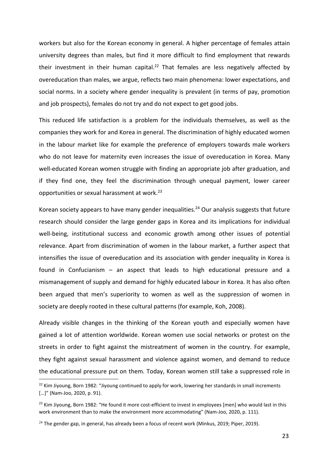workers but also for the Korean economy in general. A higher percentage of females attain university degrees than males, but find it more difficult to find employment that rewards their investment in their human capital.<sup>[22](#page-23-0)</sup> That females are less negatively affected by overeducation than males, we argue, reflects two main phenomena: lower expectations, and social norms. In a society where gender inequality is prevalent (in terms of pay, promotion and job prospects), females do not try and do not expect to get good jobs.

This reduced life satisfaction is a problem for the individuals themselves, as well as the companies they work for and Korea in general. The discrimination of highly educated women in the labour market like for example the preference of employers towards male workers who do not leave for maternity even increases the issue of overeducation in Korea. Many well-educated Korean women struggle with finding an appropriate job after graduation, and if they find one, they feel the discrimination through unequal payment, lower career opportunities or sexual harassment at work.[23](#page-23-1)

Korean society appears to have many gender inequalities.<sup>[24](#page-23-2)</sup> Our analysis suggests that future research should consider the large gender gaps in Korea and its implications for individual well-being, institutional success and economic growth among other issues of potential relevance. Apart from discrimination of women in the labour market, a further aspect that intensifies the issue of overeducation and its association with gender inequality in Korea is found in Confucianism – an aspect that leads to high educational pressure and a mismanagement of supply and demand for highly educated labour in Korea. It has also often been argued that men's superiority to women as well as the suppression of women in society are deeply rooted in these cultural patterns (for example, Koh, 2008).

Already visible changes in the thinking of the Korean youth and especially women have gained alot of attention worldwide. Korean women use social networks or protest on the streets in order to fight against the mistreatment of women in the country. For example, they fight against sexual harassment and violence against women, and demand to reduce the educational pressure put on them. Today, Korean women still take a suppressed role in

<span id="page-23-0"></span><sup>&</sup>lt;sup>22</sup> Kim Jiyoung, Born 1982: "Jiyoung continued to apply for work, lowering her standards in small increments [...]" (Nam-Joo, 2020, p. 91).

<span id="page-23-1"></span><sup>&</sup>lt;sup>23</sup> Kim Jiyoung, Born 1982: "He found it more cost-efficient to invest in employees [men] who would last in this work environment than to make the environment more accommodating" (Nam-Joo, 2020, p. 111).

<span id="page-23-2"></span> $24$  The gender gap, in general, has already been a focus of recent work (Minkus, 2019; Piper, 2019).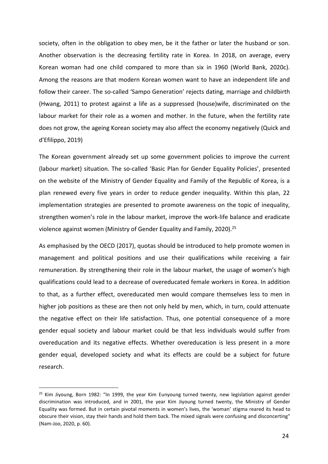society, often in the obligation to obey men, be it the father or later the husband or son. Another observation is the decreasing fertility rate in Korea. In 2018, on average, every Korean woman had one child compared to more than six in 1960 (World Bank, 2020c). Among the reasons are that modern Korean women want to have an independent life and follow their career. The so-called 'Sampo Generation' rejects dating, marriage and childbirth (Hwang, 2011) to protest against a life as a suppressed (house)wife, discriminated on the labour market for their role as a women and mother. In the future, when the fertility rate does not grow, the ageing Korean society may also affect the economy negatively (Quick and d'Efilippo, 2019)

The Korean government already set up some government policies to improve the current (labour market) situation. The so-called 'Basic Plan for Gender Equality Policies', presented on the website of the Ministry of Gender Equality and Family of the Republic of Korea, is a plan renewed every five years in order to reduce gender inequality. Within this plan, 22 implementation strategies are presented to promote awareness on the topic of inequality, strengthen women's role in the labour market, improve the work-life balance and eradicate violence against women (Ministry of Gender Equality and Family, 2020).<sup>[25](#page-24-0)</sup>

As emphasised by the OECD (2017), quotas should be introduced to help promote women in management and political positions and use their qualifications while receiving a fair remuneration. By strengthening their role in the labour market, the usage of women's high qualifications could lead to a decrease of overeducated female workers in Korea. In addition to that, as a further effect, overeducated men would compare themselves less to men in higher job positions as these are then not only held by men, which, in turn, could attenuate the negative effect on their life satisfaction. Thus, one potential consequence of a more gender equal society and labour market could be that less individuals would suffer from overeducation and its negative effects. Whether overeducation is less present in amore gender equal, developed society and what its effects are could be a subject for future research.

<span id="page-24-0"></span> $25$  Kim Jiyoung, Born 1982: "In 1999, the year Kim Eunyoung turned twenty, new legislation against gender discrimination was introduced, and in 2001, the year Kim Jiyoung turned twenty, the Ministry of Gender Equality was formed. But in certain pivotal moments in women's lives, the 'woman' stigma reared its head to obscure their vision, stay their hands and hold them back. The mixed signals were confusing and disconcerting" (Nam-Joo, 2020, p. 60).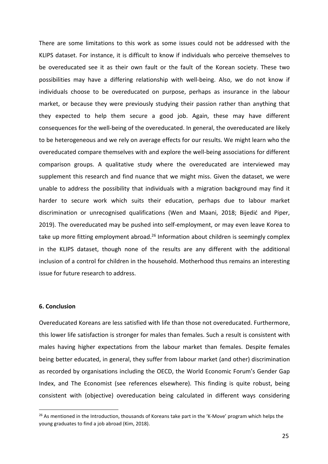There are some limitations to this work as some issues could not be addressed with the KLIPS dataset. For instance, it is difficult to know if individuals who perceive themselves to be overeducated see it as their own fault or the fault of the Korean society. These two possibilities may have a differing relationship with well-being. Also, we do not know if individuals choose to be overeducated on purpose, perhaps as insurance in the labour market, or because they were previously studying their passion rather than anything that they expected to help them secure a good job. Again, these may have different consequences for the well-being of the overeducated. In general, the overeducated are likely to be heterogeneous and we rely on average effects for our results. We might learn who the overeducated compare themselves with and explore the well-being associations for different comparison groups. A qualitative study where the overeducated are interviewed may supplement this research and find nuance that we might miss. Given the dataset, we were unable to address the possibility that individuals with amigration background may find it harder to secure work which suits their education, perhaps due to labour market discrimination or unrecognised qualifications (Wen and Maani, 2018; Bijedić and Piper, 2019). The overeducated may be pushed into self-employment, or may even leave Korea to take up more fitting employment abroad.<sup>[26](#page-25-0)</sup> Information about children is seemingly complex in the KLIPS dataset, though none of the results are any different with the additional inclusion of a control for children in the household. Motherhood thus remains an interesting issue for future research to address.

## **6. Conclusion**

Overeducated Koreans are less satisfied with life than those not overeducated. Furthermore, this lower life satisfaction is stronger for males than females. Such a result is consistent with males having higher expectations from the labour market than females. Despite females being better educated, in general, they suffer from labour market (and other) discrimination as recorded by organisations including the OECD, the World Economic Forum's Gender Gap Index, and The Economist (see references elsewhere). This finding is quite robust, being consistent with (objective) overeducation being calculated in different ways considering

<span id="page-25-0"></span> $26$  As mentioned in the Introduction, thousands of Koreans take part in the 'K-Move' program which helps the young graduates to find a job abroad (Kim, 2018).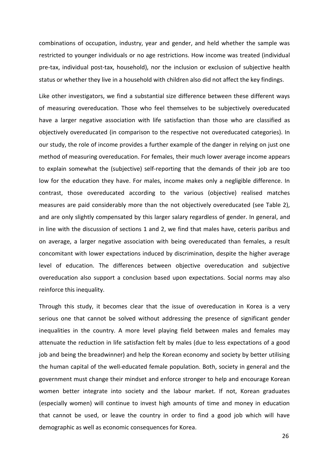combinations of occupation, industry, year and gender, and held whether the sample was restricted to younger individuals or no age restrictions. How income was treated (individual pre-tax, individual post-tax, household), nor the inclusion or exclusion of subjective health status or whether they live in a household with children also did not affect the key findings.

Like other investigators, we find a substantial size difference between these different ways of measuring overeducation. Those who feel themselves to be subjectively overeducated have a larger negative association with life satisfaction than those who are classified as objectively overeducated (in comparison to the respective not overeducated categories). In our study, the role of income provides a further example of the danger in relying on just one method of measuring overeducation. For females, their much lower average income appears to explain somewhat the (subjective) self-reporting that the demands of their job are too low for the education they have. For males, income makes only a negligible difference. In contrast, those overeducated according to the various (objective) realised matches measures are paid considerably more than the not objectively overeducated (see Table 2), and are only slightly compensated by this larger salary regardless of gender. In general, and in line with the discussion of sections 1 and 2, we find that males have, ceteris paribus and on average, a larger negative association with being overeducated than females, a result concomitant with lower expectations induced by discrimination, despite the higher average level of education. The differences between objective overeducation and subjective overeducation also support a conclusion based upon expectations. Social norms may also reinforce this inequality.

Through this study, it becomes clear that the issue of overeducation in Korea is a very serious one that cannot be solved without addressing the presence of significant gender inequalities in the country. A more level playing field between males and females may attenuate the reduction in life satisfaction felt by males (due to less expectations of a good job and being the breadwinner) and help the Korean economy and society by better utilising the human capital of the well-educated female population. Both, society in general and the government must change their mindset and enforce stronger to help and encourage Korean women better integrate into society and the labour market. If not, Korean graduates (especially women) will continue to invest high amounts of time and money in education that cannot be used, or leave the country in order to find a good job which will have demographic as well as economic consequences for Korea.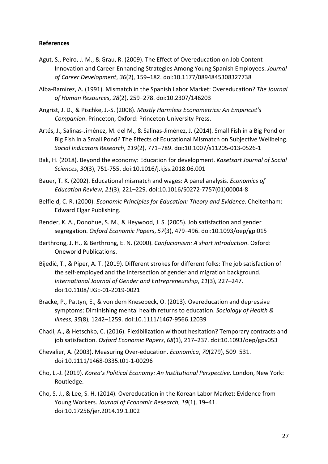## **References**

- Agut, S., Peiro, J. M., & Grau, R. (2009). The Effect of Overeducation on Job Content Innovation and Career-Enhancing Strategies Among Young Spanish Employees. *Journal of Career Development*, *36*(2), 159–182. [doi:10.1177/0894845308327738](https://doi.org/10.1177/0894845308327738)
- Alba-Ramírez, A. (1991). Mismatch in the Spanish Labor Market: Overeducation? *The Journal of Human Resources*, *28*(2), 259–278. [doi:10.2307/146203](https://doi.org/10.2307/146203)
- Angrist, J. D., & Pischke, J.-S. (2008). *Mostly Harmless Econometrics: An Empiricist's Companion*. Princeton, Oxford: Princeton University Press.
- Artés, J., Salinas-Jiménez, M. del M., & Salinas-Jiménez, J. (2014). Small Fish in a Big Pond or Big Fish in a Small Pond? The Effects of Educational Mismatch on Subjective Wellbeing. *Social Indicators Research*, *119*(2), 771–789. [doi:10.1007/s11205-013-0526-1](https://doi.org/10.1007/s11205-013-0526-1)
- Bak, H. (2018). Beyond the economy: Education for development. *Kasetsart Journal of Social Sciences*, *30*(3), 751-755. [doi:10.1016/j.kjss.2018.06.001](https://doi.org/10.1016/j.kjss.2018.06.001)
- Bauer, T. K. (2002). Educational mismatch and wages: A panel analysis. *Economics of Education Review*, *21*(3), 221–229. [doi:10.1016/S0272-7757\(01\)00004-8](https://doi.org/10.1016/S0272-7757(01)00004-8)
- Belfield, C. R. (2000). *Economic Principles for Education: Theory and Evidence*. Cheltenham: Edward Elgar Publishing.
- Bender, K. A., Donohue, S. M., & Heywood, J. S. (2005). Job satisfaction and gender segregation. *Oxford Economic Papers*, *57*(3), 479–496. [doi:10.1093/oep/gpi015](https://doi.org/10.1093/oep/gpi015)
- Berthrong, J. H., & Berthrong, E. N. (2000). *Confucianism: A short introduction*. Oxford: Oneworld Publications.
- Bijedić, T., & Piper, A. T. (2019). Different strokes for different folks: The job satisfaction of the self-employed and the intersection of gender and migration background. *International Journal of Gender and Entrepreneurship*, *11*(3), 227–247. [doi:10.1108/IJGE-01-2019-0021](https://doi.org/10.1108/IJGE-01-2019-0021)
- Bracke, P., Pattyn, E., & von dem Knesebeck, O. (2013). Overeducation and depressive symptoms: Diminishing mental health returns to education. *Sociology of Health & Illness*, *35*(8), 1242–1259. [doi:10.1111/1467-9566.12039](https://doi.org/10.1111/1467-9566.12039)
- Chadi, A., & Hetschko, C. (2016). Flexibilization without hesitation? Temporary contracts and job satisfaction.*Oxford Economic Papers*, *68*(1), 217–237. [doi:10.1093/oep/gpv053](https://doi.org/10.1093/oep/gpv053)
- Chevalier, A. (2003). Measuring Over-education. *Economica*, *70*(279), 509–531. [doi:10.1111/1468-0335.t01-1-00296](https://doi.org/10.1111/1468-0335.t01-1-00296)
- Cho, L.-J. (2019). *Korea's Political Economy: An Institutional Perspective*. London, New York: Routledge.
- Cho, S. J., & Lee, S. H. (2014). Overeducation in the Korean Labor Market: Evidence from Young Workers. *Journal of Economic Research*, *19*(1), 19–41. [doi:10.17256/jer.2014.19.1.002](https://doi.org/10.17256/jer.2014.19.1.002)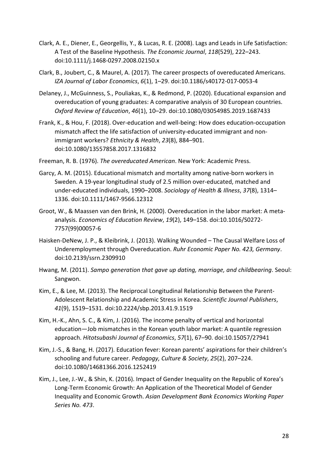- Clark, A. E., Diener, E., Georgellis, Y., & Lucas, R. E. (2008). Lags and Leadsin Life Satisfaction: A Test of the Baseline Hypothesis. *The Economic Journal*, *118*(529), 222–243. [doi:10.1111/j.1468-0297.2008.02150.x](https://doi.org/10.1111/j.1468-0297.2008.02150.x)
- Clark, B., Joubert, C., & Maurel, A. (2017). The career prospects of overeducated Americans. *IZA Journal of Labor Economics*, *6*(1), 1–29. [doi:10.1186/s40172-017-0053-4](https://doi.org/10.1186/s40172-017-0053-4)
- Delaney, J., McGuinness, S., Pouliakas, K., & Redmond, P. (2020). Educational expansion and overeducation of young graduates: A comparative analysis of 30 European countries. *Oxford Review of Education*, *46*(1), 10–29. [doi:10.1080/03054985.2019.1687433](https://doi.org/10.1080/03054985.2019.1687433)
- Frank, K., & Hou, F. (2018). Over-education and well-being: How does education-occupation mismatch affect the life satisfaction of university-educated immigrant and nonimmigrant workers? *Ethnicity & Health*, *23*(8), 884–901. [doi:10.1080/13557858.2017.1316832](https://doi.org/10.1080/13557858.2017.1316832)
- Freeman, R. B. (1976). *The overeducated American*. New York: Academic Press.
- Garcy, A. M. (2015). Educational mismatch and mortality among native-born workers in Sweden. A 19-year longitudinal study of 2.5 million over-educated, matched and under-educated individuals, 1990–2008. *Sociology of Health & Illness*, *37*(8), 1314– 1336. [doi:10.1111/1467-9566.12312](https://doi.org/10.1111/1467-9566.12312)
- Groot, W., & Maassen van den Brink, H. (2000). Overeducation in the labor market: A meta analysis. *Economics of Education Review*, *19*(2), 149–158. [doi:10.1016/S0272-](https://doi.org/10.1016/S0272-7757(99)00057-6) 7757(99)00057-6
- Haisken-DeNew, J. P., & Kleibrink, J. (2013). Walking Wounded The Causal Welfare Loss of Underemployment through Overeducation. *Ruhr Economic Paper No. 423, Germany*. [doi:10.2139/ssrn.2309910](http://dx.doi.org/10.2139/ssrn.2309910)
- Hwang, M. (2011). *Sampo generation that gave up dating, marriage, and childbearing*. Seoul: Sangwon.
- Kim, E., & Lee, M. (2013). The Reciprocal Longitudinal Relationship Between the Parent- Adolescent Relationship and Academic Stress in Korea. *Scientific Journal Publishers*, *41*(9), 1519–1531. [doi:10.2224/sbp.2013.41.9.1519](https://doi.org/10.2224/sbp.2013.41.9.1519)
- Kim, H.-K., Ahn, S. C., & Kim, J. (2016). The income penalty of vertical and horizontal education—Job mismatches in the Korean youth labor market: A quantile regression approach. *Hitotsubashi Journal of Economics*, *57*(1), 67–90. [doi:10.15057/27941](https://doi.org/10.15057/27941)
- Kim, J.-S., & Bang, H. (2017). Education fever: Korean parents' aspirations for their children's schooling and future career. *Pedagogy, Culture & Society*, *25*(2), 207–224. [doi:10.1080/14681366.2016.1252419](https://doi.org/10.1080/14681366.2016.1252419)
- Kim, J., Lee, J.-W., & Shin, K. (2016). Impact of Gender Inequality on the Republic of Korea's Long-Term Economic Growth: An Application of the Theoretical Model of Gender Inequality and Economic Growth. *Asian Development Bank Economics Working Paper Series No. 473*.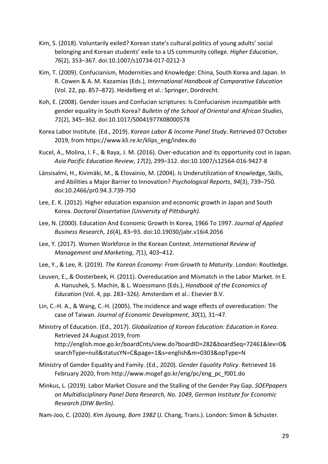- Kim, S. (2018). Voluntarily exiled? Korean state's cultural politics of young adults' social belonging and Korean students' exile to a US community college. *Higher Education*, *76*(2), 353–367. [doi:10.1007/s10734-017-0212-3](https://doi.org/10.1007/s10734-017-0212-3)
- Kim, T. (2009). Confucianism, Modernities and Knowledge: China, South Korea and Japan. In R. Cowen & A. M. Kazamias (Eds.),*International Handbook of Comparative Education* (Vol. 22, pp. 857–872). Heidelberg et al.: Springer, Dordrecht.
- Koh, E. (2008). Gender issues and Confucian scriptures: Is Confucianism incompatible with gender equality in South Korea? *Bulletin of the Schoolof Oriental and African Studies*, *71*(2), 345–362. [doi:10.1017/S0041977X08000578](https://doi.org/doi:10.1017/S0041977X08000578)
- Korea LaborInstitute. (Ed., 2019). *Korean Labor & Income Panel Study*. Retrieved 07 October 2019, from [https://www.kli.re.kr/klips\\_eng/index.do](https://www.kli.re.kr/klips_eng/index.do)
- Kucel, A., Molina, I. F., & Raya, J. M. (2016). Over-education and its opportunity cost in Japan. *Asia Pacific Education Review*, *17*(2), 299–312. [doi:10.1007/s12564-016-9427-8](https://doi.org/10.1007/s12564-016-9427-8)
- Länsisalmi, H., Kivimäki, M., & Elovainio, M. (2004). Is Underutilization of Knowledge, Skills, and Abilities a Major Barrier to Innovation? *Psychological Reports*, *94*(3), 739–750. [doi:10.2466/pr0.94.3.739-750](https://doi.org/10.2466/pr0.94.3.739-750)
- Lee, E. K. (2012). Higher education expansion and economic growth in Japan and South Korea. *Doctoral Dissertation (University of Pittsburgh)*.
- Lee, N. (2000). Education And Economic Growth In Korea, 1966 To 1997. *Journalof Applied Business Research*, *16*(4), 83–93. [doi:10.19030/jabr.v16i4.2056](https://doi.org/10.19030/jabr.v16i4.2056)
- Lee, Y. (2017). Women Workforce in the Korean Context. *International Review of Management and Marketing*, *7*(1), 403–412.
- Lee, Y., & Lee, R. (2019). *The Korean Economy: From Growth to Maturity*. London: Routledge.
- Leuven, E., & Oosterbeek, H. (2011). Overeducation and Mismatch in the Labor Market. In E. A. Hanushek, S. Machin, & L. Woessmann (Eds.), *Handbook of the Economics of*
- *Education* (Vol. 4, pp. 283–326). Amsterdam et al.: Elsevier B.V.<br>Lin, C.-H. A., & Wang, C.-H. (2005). The incidence and wage effects of overeducation: The case of Taiwan. *Journal of Economic Development*, *30*(1), 31–47.
- Ministry of Education. (Ed., 2017). *Globalization of Korean Education: Education in Korea*. Retrieved 24 August 2019, from [http://english.moe.go.kr/boardCnts/view.do?boardI](http://english.moe.go.kr/boardCnts/view.do?board)D=282&boardSeq=72461&lev=0& searchType=null&statusYN=C&page=1&s=english&m=0303&opType=N
- Ministry of Gender Equality and Family. (Ed., 2020). *Gender Equality Policy*. Retrieved 16 February 2020, from [http://www.mogef.go.kr/eng/pc/eng\\_pc\\_f001.do](http://www.mogef.go.kr/eng/pc/eng_pc_f001.do)
- Minkus, L. (2019). Labor Market Closure and the Stalling of the Gender Pay Gap. *SOEPpapers on Multidisciplinary Panel Data Research, No. 1049*, *German Institute for Economic Research (DIW Berlin)*.
- Nam-Joo, C. (2020). *Kim Jiyoung, Born 1982* (J. Chang, Trans.). London: Simon & Schuster.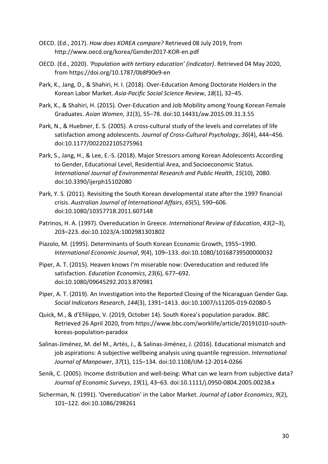- OECD. (Ed., 2017). *How does KOREA compare?* Retrieved 08 July 2019, from <http://www.oecd.org/korea/Gender2017-KOR-en.pdf>
- OECD. (Ed., 2020). *'Population with tertiary education' (indicator)*. Retrieved 04 May 2020, from <https://doi.org/10.1787/0b8f90e9-en>
- Park, K., Jang, D., & Shahiri, H. I. (2018). Over-Education Among Doctorate Holders in the Korean Labor Market. *Asia-Pacific Social Science Review*, *18*(1), 32–45.
- Park, K., & Shahiri, H. (2015). Over-Education and Job Mobility among Young Korean Female Graduates. *Asian Women*, *31*(3), 55–78. [doi:10.14431/aw.2015.09.31.3.55](https://doi.org/10.14431/aw.2015.09.31.3.55)
- Park, N., & Huebner, E. S. (2005). A cross-cultural study of the levels and correlates of life satisfaction among adolescents. *Journal of Cross-Cultural Psychology*, *36*(4), 444–456. [doi:10.1177/0022022105275961](https://doi.org/10.1177/0022022105275961)
- Park, S., Jang, H., & Lee, E.-S. (2018). Major Stressors among Korean Adolescents According to Gender, Educational Level, Residential Area, and Socioeconomic Status. *International Journal of Environmental Research and Public Health*,*15*(10), 2080. [doi:10.3390/ijerph15102080](https://doi.org/10.3390/ijerph15102080)
- Park, Y. S. (2011). Revisiting the South Korean developmental state after the 1997 financial crisis. *Australian Journal of International Affairs*, *65*(5), 590–606. [doi:10.1080/10357718.2011.607148](https://doi.org/10.1080/10357718.2011.607148)
- Patrinos, H. A. (1997). Overeducation in Greece. *International Review of Education*, *43*(2–3), 203–223. [doi:10.1023/A:1002981301802](https://doi.org/10.1023/A:1002981301802)
- Piazolo, M. (1995). Determinants of South Korean Economic Growth, 1955–1990. *International Economic Journal*, *9*(4), 109–133. [doi:10.1080/10168739500000032](https://doi.org/10.1080/10168739500000032)
- Piper, A. T. (2015). Heaven knows I'm miserable now: Overeducation and reduced life satisfaction. *Education Economics*, *23*(6), 677–692. [doi:10.1080/09645292.2013.870981](https://doi.org/10.1080/09645292.2013.870981)
- Piper, A. T. (2019). An Investigation into the Reported Closing of the Nicaraguan Gender Gap. *Social Indicators Research*, *144*(3), 1391–1413. [doi:10.1007/s11205-019-02080-5](https://doi.org/10.1007/s11205-019-02080-5)
- Quick, M., & d'Efilippo, V. (2019, October 14). South Korea's population paradox. *BBC*. Retrieved 26 April 2020, from [https://www.bbc.com/worklife/article/20191010-south](https://www.bbc.com/worklife/article/20191010-south-koreas-population-paradox) koreas-population-paradox
- Salinas-Jiménez, M. del M., Artés, J., & Salinas-Jiménez, J. (2016). Educational mismatch and job aspirations: A subjective wellbeing analysis using quantile regression. *International Journal of Manpower*, *37*(1), 115–134. [doi:10.1108/IJM-12-2014-0266](https://doi.org/10.1108/IJM-12-2014-0266)
- Senik, C. (2005). Income distribution and well-being: What can we learn from subjective data? *Journal of Economic Surveys*, *19*(1), 43–63. [doi:10.1111/j.0950-0804.2005.00238.x](https://doi.org/10.1111/j.0950-0804.2005.00238.x)
- Sicherman, N. (1991). 'Overeducation' in the Labor Market. *Journal of Labor Economics*, *9*(2), 101–122. [doi:10.1086/298261](https://doi.org/10.1086/298261)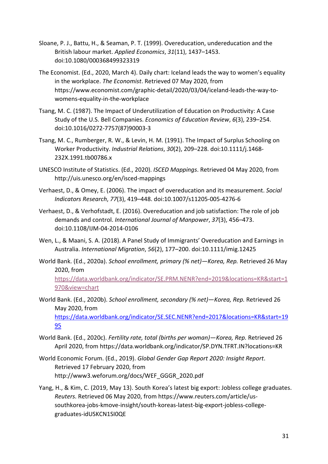- Sloane, P. J., Battu, H., & Seaman, P. T. (1999). Overeducation, undereducation and the British labour market. *Applied Economics*, *31*(11), 1437–1453. [doi:10.1080/000368499323319](https://doi.org/10.1080/000368499323319)
- The Economist. (Ed., 2020, March 4). Daily chart: Iceland leads the way to women's equality in the workplace.*The Economist*. Retrieved 07 May 2020, from [https://www.economist.com/graphic-detail/2020/03/04/iceland-leads-the-way-to](https://www.economist.com/graphic-detail/2020/03/04/iceland-leads-the-way-to-womens-equality-in-the-workplace) womens-equality-in-the-workplace
- Tsang, M. C. (1987). The Impact of Underutilization of Education on Productivity: A Case Study of the U.S. Bell Companies. *Economics of Education Review*, *6*(3), 239–254. [doi:10.1016/0272-7757\(87\)90003-3](https://doi.org/10.1016/0272-7757(87)90003-3)
- Tsang, M. C., Rumberger, R. W., & Levin, H. M. (1991). The Impact of Surplus Schooling on Worker Productivity. *Industrial Relations*, *30*(2), 209–228. [doi:10.1111/j.1468-](https://doi.org/10.1111/j.1468-232X.1991.tb00786.x) 232X.1991.tb00786.x
- UNESCO Institute of Statistics. (Ed., 2020). *ISCED Mappings*. Retrieved 04 May 2020, from <http://uis.unesco.org/en/isced-mappings>
- Verhaest, D., & Omey, E. (2006). The impact of overeducation and its measurement. *Social Indicators Research*, *77*(3), 419–448. [doi:10.1007/s11205-005-4276-6](https://doi.org/10.1007/s11205-005-4276-6)
- Verhaest, D., & Verhofstadt, E. (2016). Overeducation and job satisfaction: The role of job demands and control. *International Journal of Manpower*, *37*(3), 456–473. [doi:10.1108/IJM-04-2014-0106](https://doi.or/10.1108/IJM-04-2014-0106)
- Wen, L., & Maani, S. A. (2018). A Panel Study of Immigrants' Overeducation and Earnings in Australia. *International Migration*, *56*(2), 177–200. [doi:10.1111/imig.12425](https://doi.org/10.1111/imig.12425)
- World Bank. (Ed., 2020a). *School enrollment, primary (% net)—Korea, Rep.* Retrieved 26 May 2020, from

[https://data.worldbank.org/indicator/SE.PRM.NENR?end=2019&locations=KR&start=1](https://data.worldbank.org/indicator/SE.PRM.NENR?end=2019&locations=KR&start=1970&view=chart) 970&view=chart

World Bank. (Ed., 2020b). *School enrollment, secondary (% net)—Korea, Rep.* Retrieved 26 May 2020, from [https://data.worldbank.org/indicator/SE.SEC.NENR?end=2017&locations=KR&start=19](https://data.worldbank.org/indicator/SE.SEC.NENR?end=2017&locations=KR&start=1995) 95

World Bank. (Ed., 2020c). *Fertility rate, total (births per woman)—Korea, Rep.* Retrieved 26 April 2020, from <https://data.worldbank.org/indicator/SP.DYN.TFRT.IN?locations=KR>

World Economic Forum. (Ed., 2019). *Global Gender Gap Report 2020: Insight Report*. Retrieved 17 February 2020, from [http://www3.weforum.org/docs/WEF\\_GGGR\\_2020.pdf](http://www3.weforum.org/docs/WEF_GGGR_2020.pdf)

Yang, H., & Kim, C. (2019, May 13). South Korea's latest big export: Jobless college graduates. *Reuters*. Retrieved 06 May 2020, from [https://www.reuters.com/article/us](https://www.reuters.com/article/us-southkorea-jobs-kmove-insight/south-koreas-latest-big-export-jobless-college-graduates-idUSKCN1SI0QE) southkorea-jobs-kmove-insight/south-koreas-latest-big-export-jobless-college graduates-idUSKCN1SI0QE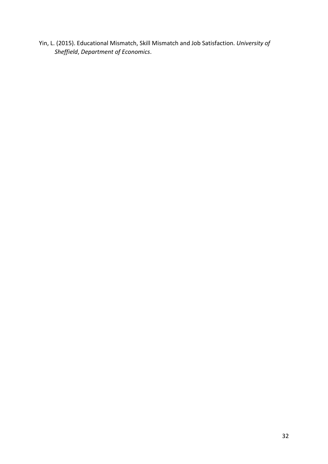Yin, L. (2015). Educational Mismatch, Skill Mismatch and Job Satisfaction.*University of Sheffield*, *Department of Economics*.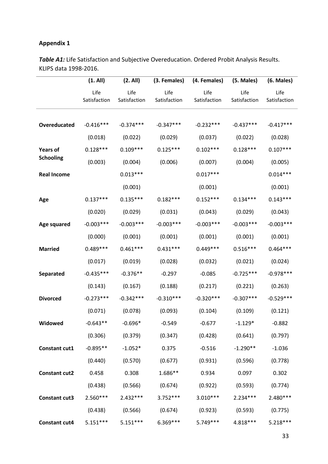# **Appendix 1**

*Table A1:* Life Satisfaction and Subjective Overeducation. Ordered Probit Analysis Results. KLIPS data 1998-2016.

|                      | (1. All)             | (2. All)             |                      | (3. Females) (4. Females) | (5. Males)           | (6. Males)           |
|----------------------|----------------------|----------------------|----------------------|---------------------------|----------------------|----------------------|
|                      | Life<br>Satisfaction | Life<br>Satisfaction | Life<br>Satisfaction | Life<br>Satisfaction      | Life<br>Satisfaction | Life<br>Satisfaction |
| Overeducated         | $-0.416***$          | $-0.374***$          | $-0.347***$          | $-0.232***$               | $-0.437***$          | $-0.417***$          |
|                      | (0.018)              | (0.022)              | (0.029)              | (0.037)                   | (0.022)              | (0.028)              |
| <b>Years of</b>      | $0.128***$           | $0.109***$           | $0.125***$           | $0.102***$                | $0.128***$           | $0.107***$           |
| <b>Schooling</b>     | (0.003)              | (0.004)              | (0.006)              | (0.007)                   | (0.004)              | (0.005)              |
| <b>Real Income</b>   |                      | $0.013***$           |                      | $0.017***$                |                      | $0.014***$           |
|                      |                      | (0.001)              |                      | (0.001)                   |                      | (0.001)              |
| Age                  | $0.137***$           | $0.135***$           | $0.182***$           | $0.152***$                | $0.134***$           | $0.143***$           |
|                      | (0.020)              | (0.029)              | (0.031)              | (0.043)                   | (0.029)              | (0.043)              |
| Age squared          | $-0.003***$          | $-0.003***$          | $-0.003***$          | $-0.003***$               | $-0.003***$          | $-0.003***$          |
|                      | (0.000)              | (0.001)              | (0.001)              | (0.001)                   | (0.001)              | (0.001)              |
| <b>Married</b>       | $0.489***$           | $0.461***$           | $0.431***$           | $0.449***$                | $0.516***$           | $0.464***$           |
|                      | (0.017)              | (0.019)              | (0.028)              | (0.032)                   | (0.021)              | (0.024)              |
| <b>Separated</b>     | $-0.435***$          | $-0.376**$           | $-0.297$             | $-0.085$                  | $-0.725***$          | $-0.978***$          |
|                      | (0.143)              | (0.167)              | (0.188)              | (0.217)                   | (0.221)              | (0.263)              |
| <b>Divorced</b>      | $-0.273***$          | $-0.342***$          | $-0.310***$          | $-0.320***$               | $-0.307***$          | $-0.529***$          |
|                      | (0.071)              | (0.078)              | (0.093)              | (0.104)                   | (0.109)              | (0.121)              |
| Widowed              | $-0.643**$           | $-0.696*$            | $-0.549$             | $-0.677$                  | $-1.129*$            | $-0.882$             |
|                      | (0.306)              | (0.379)              | (0.347)              | (0.428)                   | (0.641)              | (0.797)              |
| Constant cut1        | $-0.895**$           | $-1.052*$            | 0.375                | $-0.516$                  | $-1.290**$           | $-1.036$             |
|                      | (0.440)              | (0.570)              | (0.677)              | (0.931)                   | (0.596)              | (0.778)              |
| <b>Constant cut2</b> | 0.458                | 0.308                | 1.686**              | 0.934                     | 0.097                | 0.302                |
|                      | (0.438)              | (0.566)              | (0.674)              | (0.922)                   | (0.593)              | (0.774)              |
| <b>Constant cut3</b> | $2.560***$           | $2.432***$           | $3.752***$           | $3.010***$                | $2.234***$           | $2.480***$           |
|                      | (0.438)              | (0.566)              | (0.674)              | (0.923)                   | (0.593)              | (0.775)              |
| Constant cut4        | $5.151***$           | $5.151***$           | $6.369***$           | 5.749 ***                 | 4.818***             | $5.218***$           |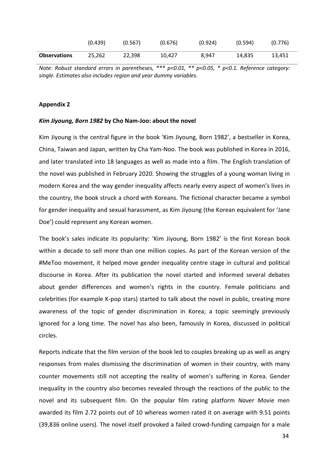|                     | (0.439) | (0.567) | (0.676) | (0.924) | (0.594) | (0.776) |
|---------------------|---------|---------|---------|---------|---------|---------|
| <b>Observations</b> | 25,262  | 22,398  | 10,427  | 8,947   | 14,835  | 13,451  |

*Note: Robust standard errors in parentheses, \*\*\* p<0.01, \*\* p<0.05, \* p<0.1. Reference category: single. Estimates also includes region and year dummy variables.*

#### **Appendix 2**

#### *Kim Jiyoung, Born 1982* **by Cho Nam-Joo: about the novel**

Kim Jiyoung is the central figure in the book 'Kim Jiyoung, Born 1982', a bestseller in Korea, China, Taiwan and Japan, written by Cha Yam-Noo.The book was published in Korea in 2016, and later translated into 18 languages as well as made into a film. The English translation of the novel was published in February 2020. Showing the struggles of a young woman living in modern Korea and the way gender inequality affects nearly every aspect of women's lives in the country, the book struck a chord with Koreans. The fictional character became a symbol for gender inequality and sexual harassment, as Kim Jiyoung (the Korean equivalent for 'Jane Doe') could represent any Korean women.

The book's sales indicate its popularity: 'Kim Jiyoung, Born 1982' is the first Korean book within a decade to sell more than one million copies. As part of the Korean version of the #MeToo movement, it helped move gender inequality centre stage in cultural and political discourse in Korea. After its publication the novel started and informed several debates about gender differences and women's rights in the country. Female politicians and celebrities (for example K-pop stars) started to talk about the novel in public, creating more awareness of the topic of gender discrimination in Korea; a topic seemingly previously ignored for a long time. The novel has also been, famously in Korea, discussed in political circles.

Reports indicate that the film version of the book led to couples breaking up as well as angry responses from males dismissing the discrimination of women in their country, with many counter movements still not accepting the reality of women's suffering in Korea. Gender inequality in the country also becomes revealed through the reactions of the public to the novel and its subsequent film. On the popular film rating platform *Naver Movie* men awarded its film 2.72 points out of 10 whereas women rated it on average with 9.51 points (39,836 online users). The novel itself provoked a failed crowd-funding campaign for a male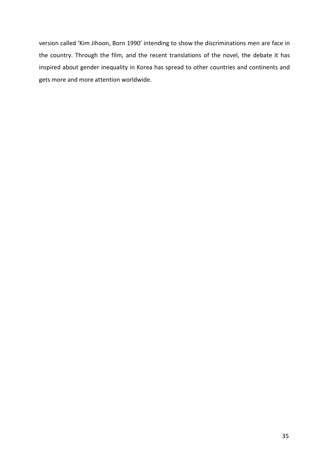version called 'Kim Jihoon, Born 1990' intending to show the discriminations men are face in the country. Through the film, and the recent translations of the novel, the debate it has inspired about gender inequality in Korea has spread to other countries and continents and gets more and more attention worldwide.